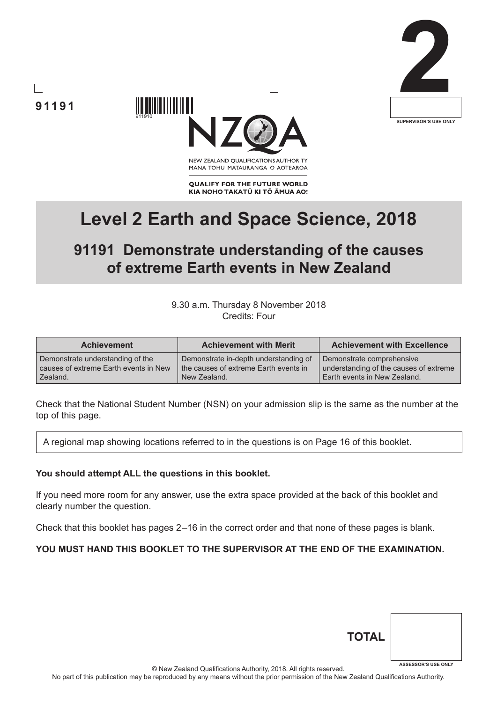



**91191**

NEW ZEALAND OUALIFICATIONS AUTHORITY MANA TOHU MĀTAURANGA O AOTEAROA

**QUALIFY FOR THE FUTURE WORLD** KIA NOHO TAKATŪ KI TŌ ĀMUA AO!

# **Level 2 Earth and Space Science, 2018**

## **91191 Demonstrate understanding of the causes of extreme Earth events in New Zealand**

9.30 a.m. Thursday 8 November 2018 Credits: Four

| <b>Achievement</b>                    | <b>Achievement with Merit</b>         | <b>Achievement with Excellence</b>     |
|---------------------------------------|---------------------------------------|----------------------------------------|
| Demonstrate understanding of the      | Demonstrate in-depth understanding of | Demonstrate comprehensive              |
| causes of extreme Earth events in New | the causes of extreme Earth events in | understanding of the causes of extreme |
| Zealand.                              | New Zealand.                          | Earth events in New Zealand.           |

Check that the National Student Number (NSN) on your admission slip is the same as the number at the top of this page.

A regional map showing locations referred to in the questions is on Page 16 of this booklet.

#### **You should attempt ALL the questions in this booklet.**

If you need more room for any answer, use the extra space provided at the back of this booklet and clearly number the question.

Check that this booklet has pages 2 –16 in the correct order and that none of these pages is blank.

#### **YOU MUST HAND THIS BOOKLET TO THE SUPERVISOR AT THE END OF THE EXAMINATION.**

| <b>TOTAL</b> |                            |
|--------------|----------------------------|
|              | <b>ASSESSOR'S USE ONLY</b> |

© New Zealand Qualifications Authority, 2018. All rights reserved.

No part of this publication may be reproduced by any means without the prior permission of the New Zealand Qualifications Authority.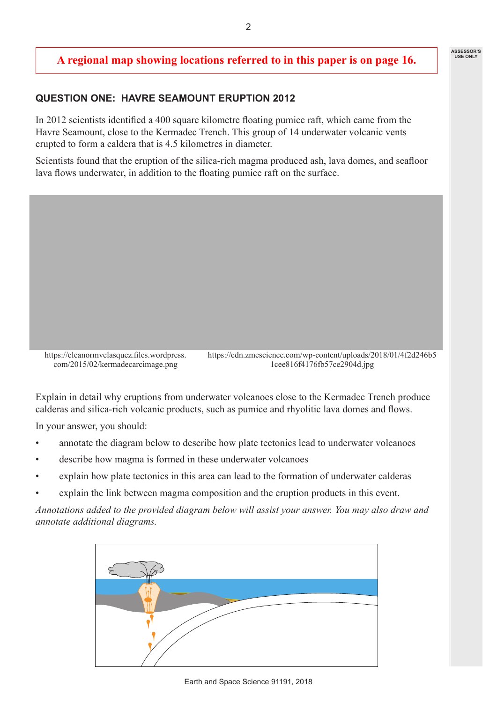## **A regional map showing locations referred to in this paper is on page 16.**

## **QUESTION ONE: HAVRE SEAMOUNT ERUPTION 2012**

In 2012 scientists identified a 400 square kilometre floating pumice raft, which came from the Havre Seamount, close to the Kermadec Trench. This group of 14 underwater volcanic vents erupted to form a caldera that is 4.5 kilometres in diameter.

Scientists found that the eruption of the silica-rich magma produced ash, lava domes, and seafloor lava flows underwater, in addition to the floating pumice raft on the surface.

https://eleanormvelasquez.files.wordpress. com/2015/02/kermadecarcimage.png https://cdn.zmescience.com/wp-content/uploads/2018/01/4f2d246b5 1cee816f4176fb57ce2904d.jpg

Explain in detail why eruptions from underwater volcanoes close to the Kermadec Trench produce calderas and silica-rich volcanic products, such as pumice and rhyolitic lava domes and flows.

In your answer, you should:

- annotate the diagram below to describe how plate tectonics lead to underwater volcanoes
- describe how magma is formed in these underwater volcanoes
- explain how plate tectonics in this area can lead to the formation of underwater calderas
- explain the link between magma composition and the eruption products in this event.

*Annotations added to the provided diagram below will assist your answer. You may also draw and annotate additional diagrams.*

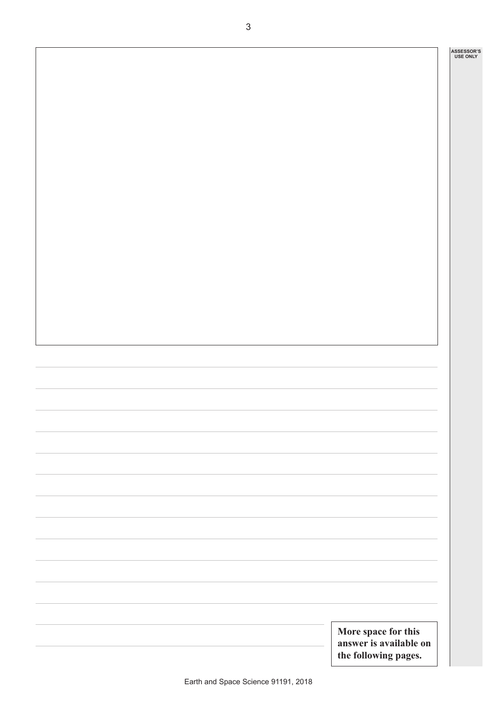**ASSESSOR'S USE ONLY**

| More space for this    |
|------------------------|
| answer is available on |
| the following pages.   |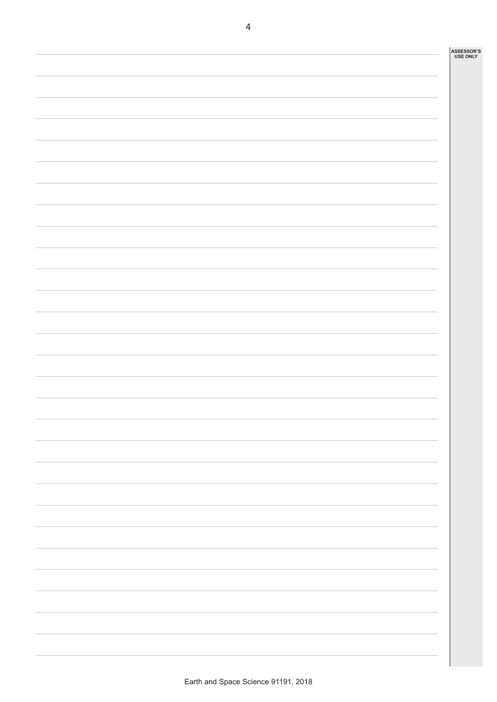| ASSESSOR'S<br>USE ONLY |
|------------------------|
|                        |
|                        |
|                        |
|                        |
|                        |
|                        |
|                        |
|                        |
|                        |
|                        |
|                        |
|                        |
|                        |
|                        |
|                        |
|                        |
|                        |
|                        |
|                        |
|                        |
|                        |
|                        |
|                        |
|                        |
|                        |
|                        |
|                        |
|                        |
|                        |
|                        |
|                        |
|                        |
|                        |
|                        |
|                        |
|                        |
|                        |
|                        |
|                        |
|                        |
|                        |
|                        |
|                        |
|                        |
|                        |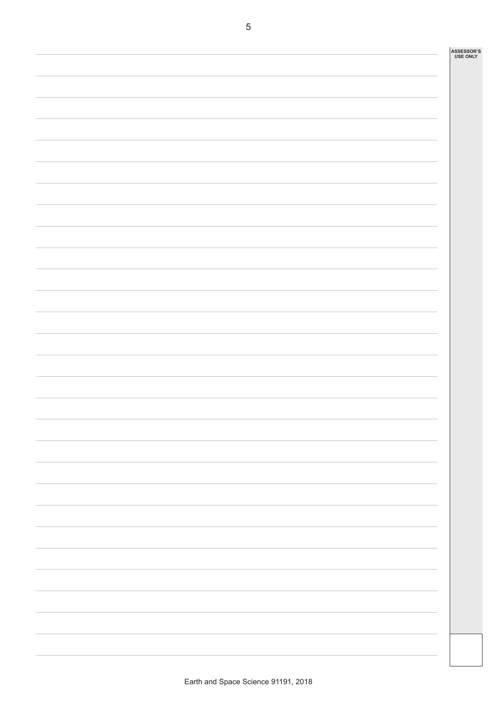| ASSESSOR'S<br>USE ONLY |
|------------------------|
|                        |
|                        |
|                        |
|                        |
|                        |
|                        |
|                        |
|                        |
|                        |
|                        |
|                        |
|                        |
|                        |
|                        |
|                        |
|                        |
|                        |
|                        |
|                        |
|                        |
|                        |
|                        |
|                        |
|                        |
|                        |
|                        |
|                        |
|                        |
|                        |
|                        |
|                        |
|                        |
|                        |
|                        |
|                        |
|                        |
|                        |
|                        |

 $\overline{a}$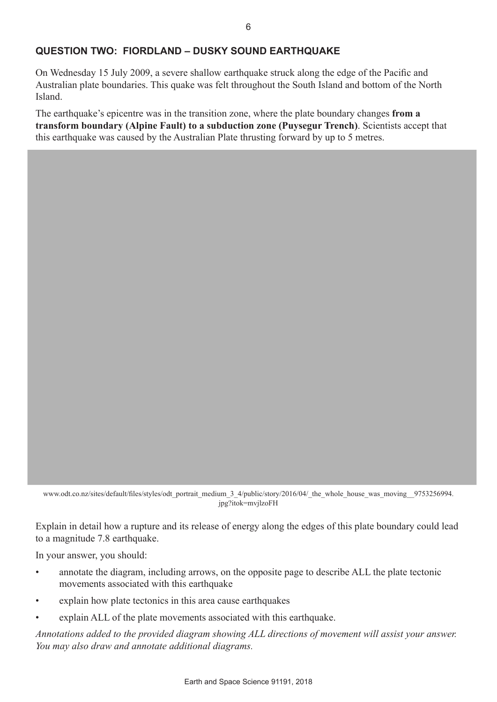## **QUESTION TWO: FIORDLAND – DUSKY SOUND EARTHQUAKE**

On Wednesday 15 July 2009, a severe shallow earthquake struck along the edge of the Pacific and Australian plate boundaries. This quake was felt throughout the South Island and bottom of the North Island.

The earthquake's epicentre was in the transition zone, where the plate boundary changes **from a transform boundary (Alpine Fault) to a subduction zone (Puysegur Trench)**. Scientists accept that this earthquake was caused by the Australian Plate thrusting forward by up to 5 metres.

www.odt.co.nz/sites/default/files/styles/odt\_portrait\_medium\_3\_4/public/story/2016/04/\_the\_whole\_house\_was\_moving\_\_9753256994. jpg?itok=mvjlzoFH

Explain in detail how a rupture and its release of energy along the edges of this plate boundary could lead to a magnitude 7.8 earthquake.

In your answer, you should:

- annotate the diagram, including arrows, on the opposite page to describe ALL the plate tectonic movements associated with this earthquake
- explain how plate tectonics in this area cause earthquakes
- explain ALL of the plate movements associated with this earthquake.

*Annotations added to the provided diagram showing ALL directions of movement will assist your answer. You may also draw and annotate additional diagrams.*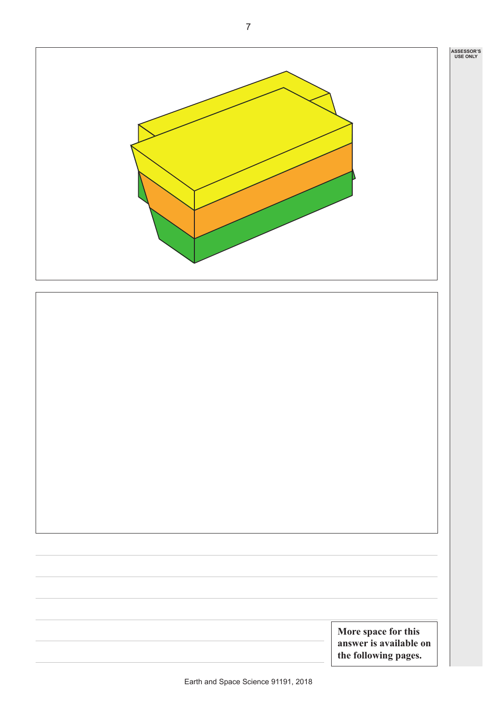

| More space for this<br>answer is available on |
|-----------------------------------------------|
| the following pages.                          |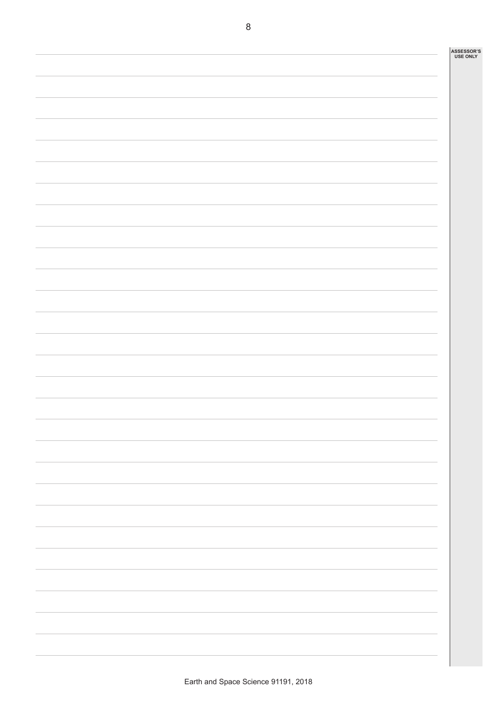| ASSESSOR'S<br>USE ONLY |
|------------------------|
|                        |
|                        |
|                        |
|                        |
|                        |
|                        |
|                        |
|                        |
|                        |
|                        |
|                        |
|                        |
|                        |
|                        |
|                        |
|                        |
|                        |
|                        |
|                        |
|                        |
|                        |
|                        |
|                        |
|                        |
|                        |
|                        |
|                        |
|                        |
|                        |
|                        |
|                        |
|                        |
|                        |
|                        |
|                        |
|                        |
|                        |
|                        |
|                        |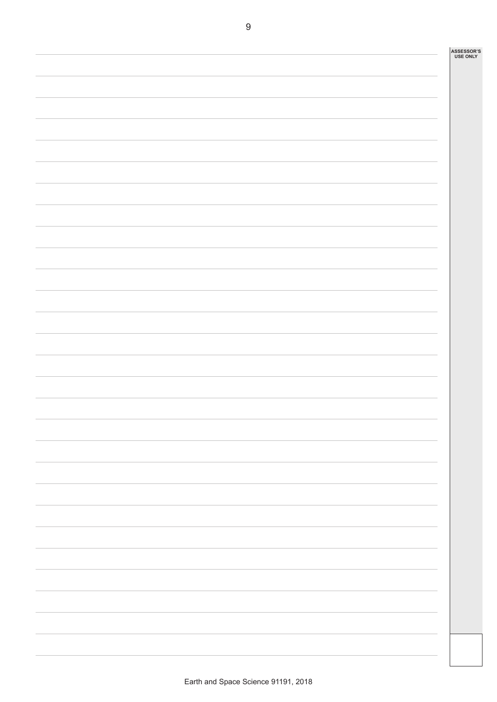| ASSESSOR'S<br>USE ONLY |
|------------------------|
|                        |
|                        |
|                        |
|                        |
|                        |
|                        |
|                        |
|                        |
|                        |
|                        |
|                        |
|                        |
|                        |
|                        |
|                        |
|                        |
|                        |
|                        |
|                        |
|                        |
|                        |
|                        |
|                        |
|                        |
|                        |
|                        |
|                        |
|                        |
|                        |
|                        |
|                        |
|                        |
|                        |
|                        |
|                        |
|                        |
|                        |
|                        |
|                        |
|                        |
|                        |
|                        |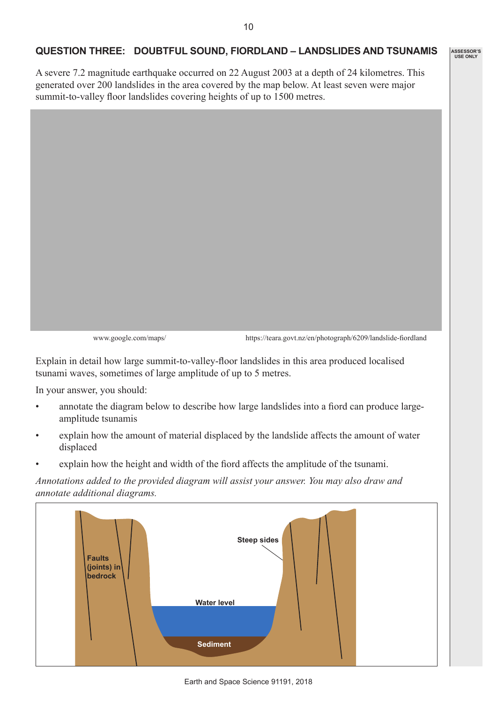## **QUESTION THREE: DOUBTFUL SOUND, FIORDLAND – LANDSLIDES AND TSUNAMIS**

A severe 7.2 magnitude earthquake occurred on 22 August 2003 at a depth of 24 kilometres. This generated over 200 landslides in the area covered by the map below. At least seven were major summit-to-valley floor landslides covering heights of up to 1500 metres.



www.google.com/maps/ https://teara.govt.nz/en/photograph/6209/landslide-fiordland

**ASSESSOR'S USE ONLY**

Explain in detail how large summit-to-valley-floor landslides in this area produced localised tsunami waves, sometimes of large amplitude of up to 5 metres.

In your answer, you should:

- annotate the diagram below to describe how large landslides into a fiord can produce largeamplitude tsunamis
- explain how the amount of material displaced by the landslide affects the amount of water displaced
- explain how the height and width of the fiord affects the amplitude of the tsunami.

*Annotations added to the provided diagram will assist your answer. You may also draw and annotate additional diagrams.*

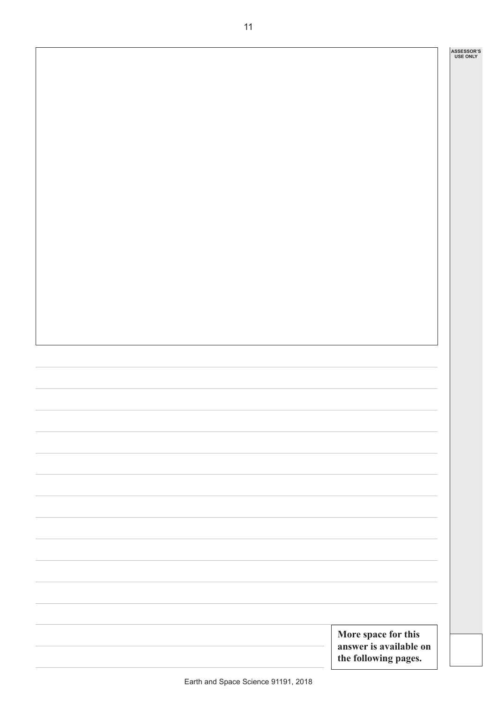**ASSESSOR'S USE ONLY**

|  | More space for this<br>answer is available on<br>the following pages. |
|--|-----------------------------------------------------------------------|
|--|-----------------------------------------------------------------------|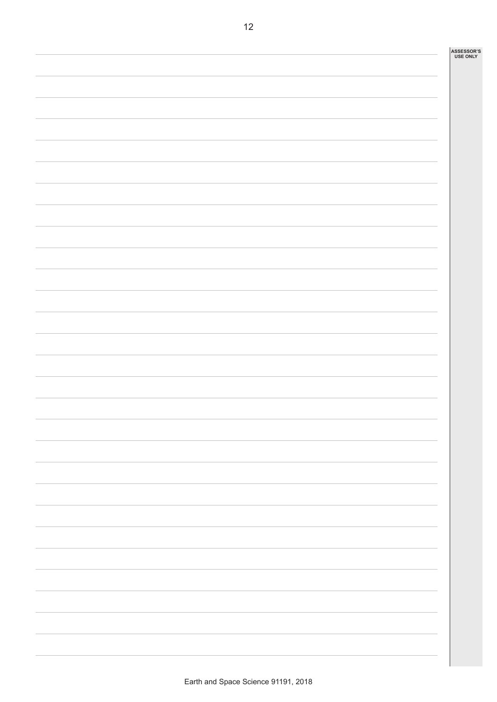|  |  | ASSESSOR'S<br>USE ONLY |
|--|--|------------------------|
|  |  |                        |
|  |  |                        |
|  |  |                        |
|  |  |                        |
|  |  |                        |
|  |  |                        |
|  |  |                        |
|  |  |                        |
|  |  |                        |
|  |  |                        |
|  |  |                        |
|  |  |                        |
|  |  |                        |
|  |  |                        |
|  |  |                        |
|  |  |                        |
|  |  |                        |
|  |  |                        |
|  |  |                        |
|  |  |                        |
|  |  |                        |
|  |  |                        |
|  |  |                        |
|  |  |                        |
|  |  |                        |
|  |  |                        |
|  |  |                        |
|  |  |                        |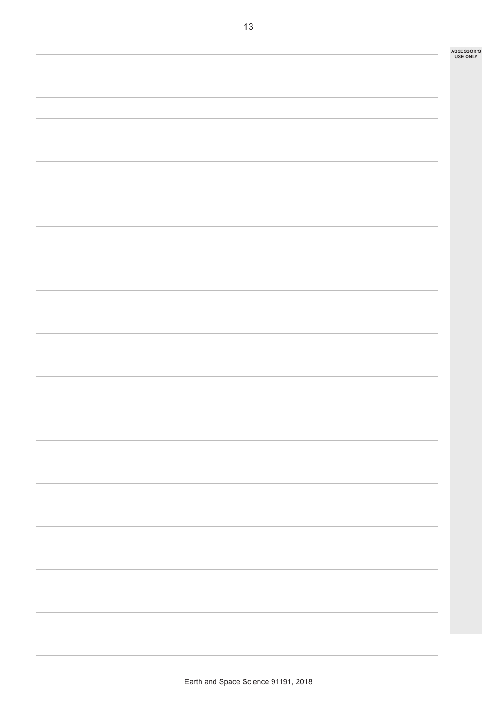|  |  | ASSESSOR'S<br>USE ONLY |
|--|--|------------------------|
|  |  |                        |
|  |  |                        |
|  |  |                        |
|  |  |                        |
|  |  |                        |
|  |  |                        |
|  |  |                        |
|  |  |                        |
|  |  |                        |
|  |  |                        |
|  |  |                        |
|  |  |                        |
|  |  |                        |
|  |  |                        |
|  |  |                        |
|  |  |                        |
|  |  |                        |
|  |  |                        |
|  |  |                        |
|  |  |                        |
|  |  |                        |
|  |  |                        |
|  |  |                        |
|  |  |                        |
|  |  |                        |
|  |  |                        |
|  |  |                        |
|  |  |                        |
|  |  |                        |

Earth and Space Science 91191, 2018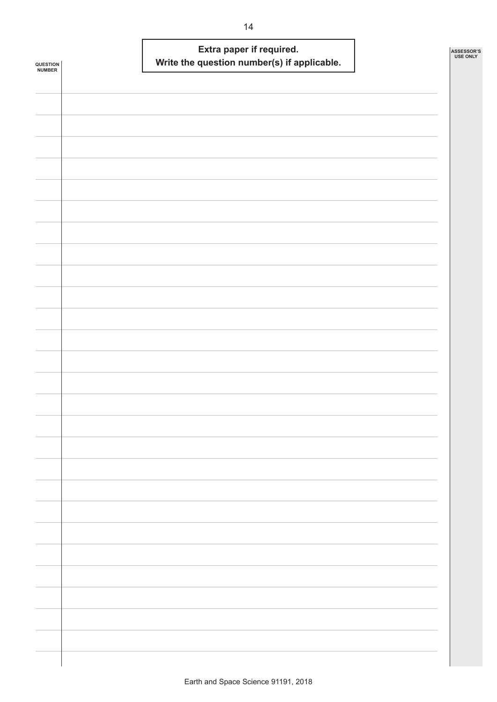| <b>QUESTION<br/>NUMBER</b> | Extra paper if required.<br>Write the question number(s) if applicable. | ASSESSOR'S<br><b>USE ONLY</b> |
|----------------------------|-------------------------------------------------------------------------|-------------------------------|
|                            |                                                                         |                               |
|                            |                                                                         |                               |
|                            |                                                                         |                               |
|                            |                                                                         |                               |
|                            |                                                                         |                               |
|                            |                                                                         |                               |
|                            |                                                                         |                               |
|                            |                                                                         |                               |
|                            |                                                                         |                               |
|                            |                                                                         |                               |
|                            |                                                                         |                               |
|                            |                                                                         |                               |
|                            |                                                                         |                               |
|                            |                                                                         |                               |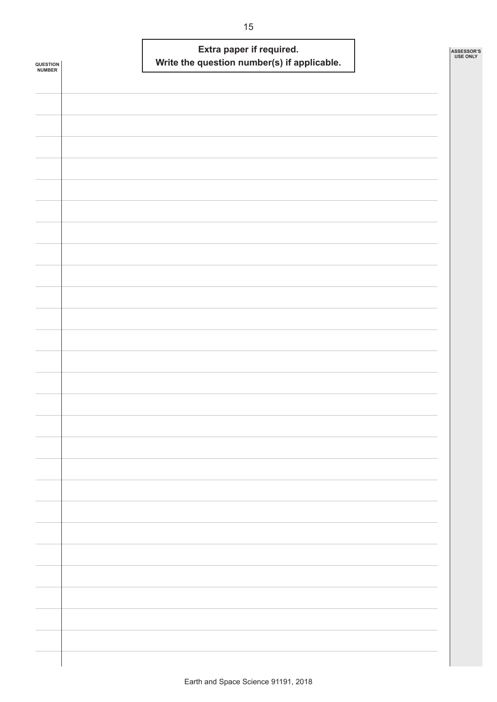| <b>QUESTION<br/>NUMBER</b> | Extra paper if required.<br>Write the question number(s) if applicable. | ASSESSOR'S<br><b>USE ONLY</b> |
|----------------------------|-------------------------------------------------------------------------|-------------------------------|
|                            |                                                                         |                               |
|                            |                                                                         |                               |
|                            |                                                                         |                               |
|                            |                                                                         |                               |
|                            |                                                                         |                               |
|                            |                                                                         |                               |
|                            |                                                                         |                               |
|                            |                                                                         |                               |
|                            |                                                                         |                               |
|                            |                                                                         |                               |
|                            |                                                                         |                               |
|                            |                                                                         |                               |
|                            |                                                                         |                               |
|                            |                                                                         |                               |
|                            |                                                                         |                               |
|                            |                                                                         |                               |
|                            |                                                                         |                               |
|                            |                                                                         |                               |
|                            |                                                                         |                               |
|                            |                                                                         |                               |
|                            |                                                                         |                               |
|                            |                                                                         |                               |
|                            |                                                                         |                               |
|                            |                                                                         |                               |
|                            |                                                                         |                               |
|                            |                                                                         |                               |